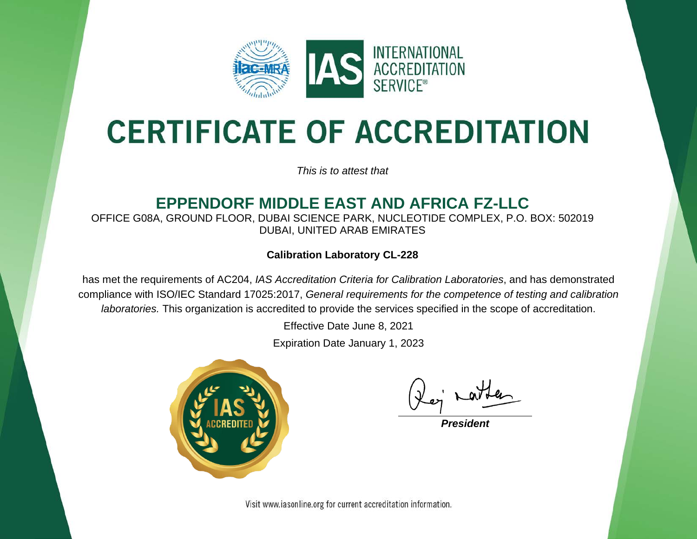

# **CERTIFICATE OF ACCREDITATION**

*This is to attest that*

## **EPPENDORF MIDDLE EAST AND AFRICA FZ-LLC**

OFFICE G08A, GROUND FLOOR, DUBAI SCIENCE PARK, NUCLEOTIDE COMPLEX, P.O. BOX: 502019 DUBAI, UNITED ARAB EMIRATES

## **Calibration Laboratory CL-228**

has met the requirements of AC204, *IAS Accreditation Criteria for Calibration Laboratories*, and has demonstrated compliance with ISO/IEC Standard 17025:2017, *General requirements for the competence of testing and calibration laboratories.* This organization is accredited to provide the services specified in the scope of accreditation.

Effective Date June 8, 2021

Expiration Date January 1, 2023



*President*

Visit www.iasonline.org for current accreditation information.